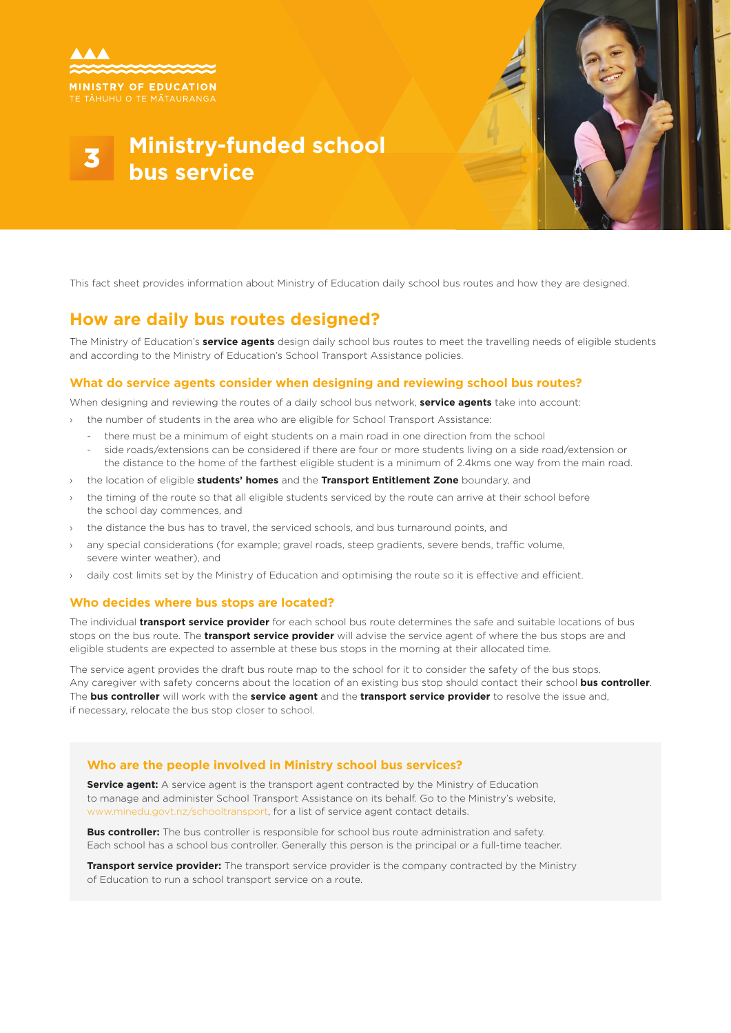

# **Ministry-funded school bus service**



This fact sheet provides information about Ministry of Education daily school bus routes and how they are designed.

### **How are daily bus routes designed?**

The Ministry of Education's **service agents** design daily school bus routes to meet the travelling needs of eligible students and according to the Ministry of Education's School Transport Assistance policies.

#### **What do service agents consider when designing and reviewing school bus routes?**

When designing and reviewing the routes of a daily school bus network, **service agents** take into account:

- the number of students in the area who are eligible for School Transport Assistance:
	- there must be a minimum of eight students on a main road in one direction from the school
	- side roads/extensions can be considered if there are four or more students living on a side road/extension or the distance to the home of the farthest eligible student is a minimum of 2.4kms one way from the main road.
- › the location of eligible **students' homes** and the **Transport Entitlement Zone** boundary, and
- the timing of the route so that all eligible students serviced by the route can arrive at their school before the school day commences, and
- the distance the bus has to travel, the serviced schools, and bus turnaround points, and
- any special considerations (for example; gravel roads, steep gradients, severe bends, traffic volume, severe winter weather), and
- daily cost limits set by the Ministry of Education and optimising the route so it is effective and efficient.

#### **Who decides where bus stops are located?**

The individual **transport service provider** for each school bus route determines the safe and suitable locations of bus stops on the bus route. The **transport service provider** will advise the service agent of where the bus stops are and eligible students are expected to assemble at these bus stops in the morning at their allocated time.

The service agent provides the draft bus route map to the school for it to consider the safety of the bus stops. Any caregiver with safety concerns about the location of an existing bus stop should contact their school **bus controller**. The **bus controller** will work with the **service agent** and the **transport service provider** to resolve the issue and, if necessary, relocate the bus stop closer to school.

#### **Who are the people involved in Ministry school bus services?**

**Service agent:** A service agent is the transport agent contracted by the Ministry of Education to manage and administer School Transport Assistance on its behalf. Go to the Ministry's website, www.minedu.govt.nz/schooltransport, for a list of service agent contact details.

**Bus controller:** The bus controller is responsible for school bus route administration and safety. Each school has a school bus controller. Generally this person is the principal or a full-time teacher.

**Transport service provider:** The transport service provider is the company contracted by the Ministry of Education to run a school transport service on a route.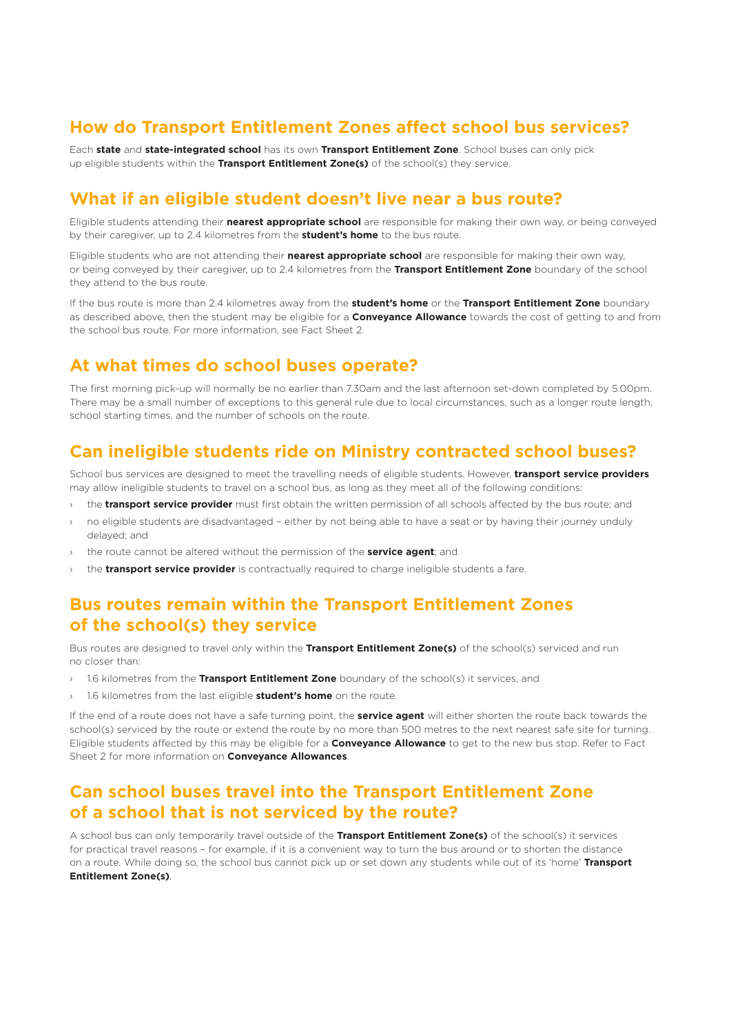### **How do Transport Entitlement Zones affect school bus services?**

Each **state** and **state-integrated school** has its own **Transport Entitlement Zone**. School buses can only pick up eligible students within the **Transport Entitlement Zone(s)** of the school(s) they service.

#### **What if an eligible student doesn't live near a bus route?**

Eligible students attending their **nearest appropriate school** are responsible for making their own way, or being conveyed by their caregiver, up to 2.4 kilometres from the **student's home** to the bus route.

Eligible students who are not attending their **nearest appropriate school** are responsible for making their own way, or being conveyed by their caregiver, up to 2.4 kilometres from the **Transport Entitlement Zone** boundary of the school they attend to the bus route.

If the bus route is more than 2.4 kilometres away from the **student's home** or the **Transport Entitlement Zone** boundary as described above, then the student may be eligible for a **Conveyance Allowance** towards the cost of getting to and from the school bus route. For more information, see Fact Sheet 2.

### **At what times do school buses operate?**

The first morning pick-up will normally be no earlier than 7.30am and the last afternoon set-down completed by 5.00pm. There may be a small number of exceptions to this general rule due to local circumstances, such as a longer route length, school starting times, and the number of schools on the route.

### **Can ineligible students ride on Ministry contracted school buses?**

School bus services are designed to meet the travelling needs of eligible students. However, **transport service providers**  may allow ineligible students to travel on a school bus, as long as they meet all of the following conditions:

- the **transport service provider** must first obtain the written permission of all schools affected by the bus route; and
- › no eligible students are disadvantaged either by not being able to have a seat or by having their journey unduly delayed; and
- the route cannot be altered without the permission of the **service agent**; and
- the **transport service provider** is contractually required to charge ineligible students a fare.

#### **Bus routes remain within the Transport Entitlement Zones of the school(s) they service**

Bus routes are designed to travel only within the **Transport Entitlement Zone(s)** of the school(s) serviced and run no closer than:

- 1.6 kilometres from the Transport Entitlement Zone boundary of the school(s) it services, and
- › 1.6 kilometres from the last eligible **student's home** on the route.

If the end of a route does not have a safe turning point, the **service agent** will either shorten the route back towards the school(s) serviced by the route or extend the route by no more than 500 metres to the next nearest safe site for turning. Eligible students affected by this may be eligible for a **Conveyance Allowance** to get to the new bus stop. Refer to Fact Sheet 2 for more information on **Conveyance Allowances**.

#### **Can school buses travel into the Transport Entitlement Zone of a school that is not serviced by the route?**

A school bus can only temporarily travel outside of the **Transport Entitlement Zone(s)** of the school(s) it services for practical travel reasons – for example, if it is a convenient way to turn the bus around or to shorten the distance on a route. While doing so, the school bus cannot pick up or set down any students while out of its 'home' **Transport Entitlement Zone(s)**.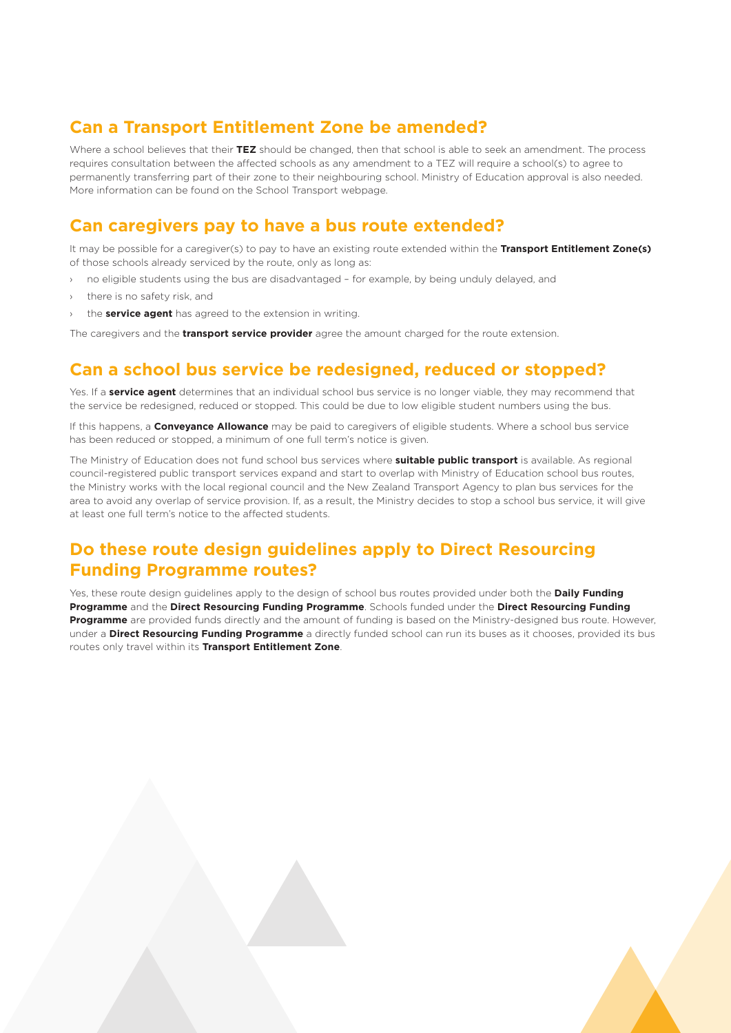# **Can a Transport Entitlement Zone be amended?**

Where a school believes that their **TEZ** should be changed, then that school is able to seek an amendment. The process requires consultation between the affected schools as any amendment to a TEZ will require a school(s) to agree to permanently transferring part of their zone to their neighbouring school. Ministry of Education approval is also needed. More information can be found on the School Transport webpage.

## **Can caregivers pay to have a bus route extended?**

It may be possible for a caregiver(s) to pay to have an existing route extended within the **Transport Entitlement Zone(s)**  of those schools already serviced by the route, only as long as:

- no eligible students using the bus are disadvantaged for example, by being unduly delayed, and
- there is no safety risk, and
- the **service agent** has agreed to the extension in writing.

The caregivers and the **transport service provider** agree the amount charged for the route extension.

### **Can a school bus service be redesigned, reduced or stopped?**

Yes. If a **service agent** determines that an individual school bus service is no longer viable, they may recommend that the service be redesigned, reduced or stopped. This could be due to low eligible student numbers using the bus.

If this happens, a **Conveyance Allowance** may be paid to caregivers of eligible students. Where a school bus service has been reduced or stopped, a minimum of one full term's notice is given.

The Ministry of Education does not fund school bus services where **suitable public transport** is available. As regional council-registered public transport services expand and start to overlap with Ministry of Education school bus routes, the Ministry works with the local regional council and the New Zealand Transport Agency to plan bus services for the area to avoid any overlap of service provision. If, as a result, the Ministry decides to stop a school bus service, it will give at least one full term's notice to the affected students.

# **Do these route design guidelines apply to Direct Resourcing Funding Programme routes?**

Yes, these route design guidelines apply to the design of school bus routes provided under both the **Daily Funding Programme** and the **Direct Resourcing Funding Programme**. Schools funded under the **Direct Resourcing Funding Programme** are provided funds directly and the amount of funding is based on the Ministry-designed bus route. However, under a **Direct Resourcing Funding Programme** a directly funded school can run its buses as it chooses, provided its bus routes only travel within its **Transport Entitlement Zone**.